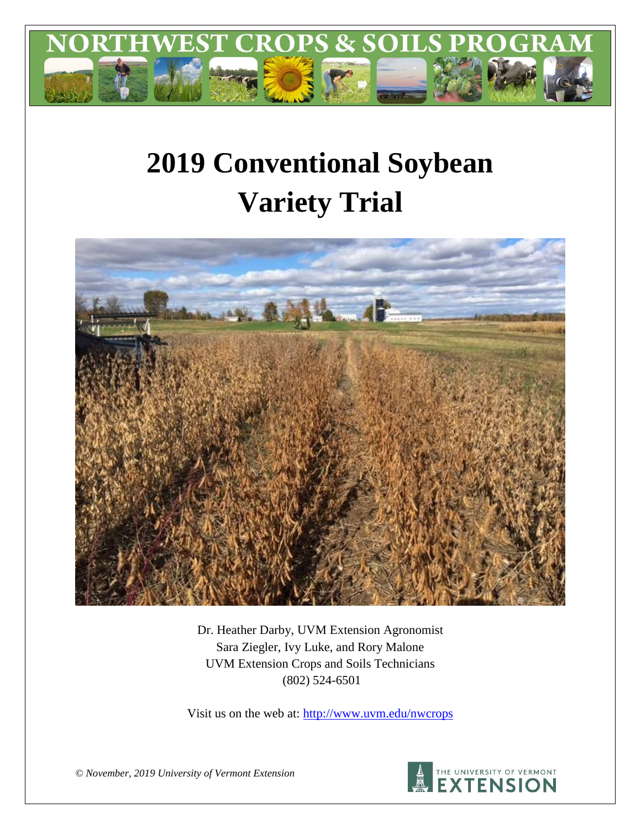

# **2019 Conventional Soybean Variety Trial**



Dr. Heather Darby, UVM Extension Agronomist Sara Ziegler, Ivy Luke, and Rory Malone UVM Extension Crops and Soils Technicians (802) 524-6501

Visit us on the web at: <http://www.uvm.edu/nwcrops>



*© November, 2019 University of Vermont Extension*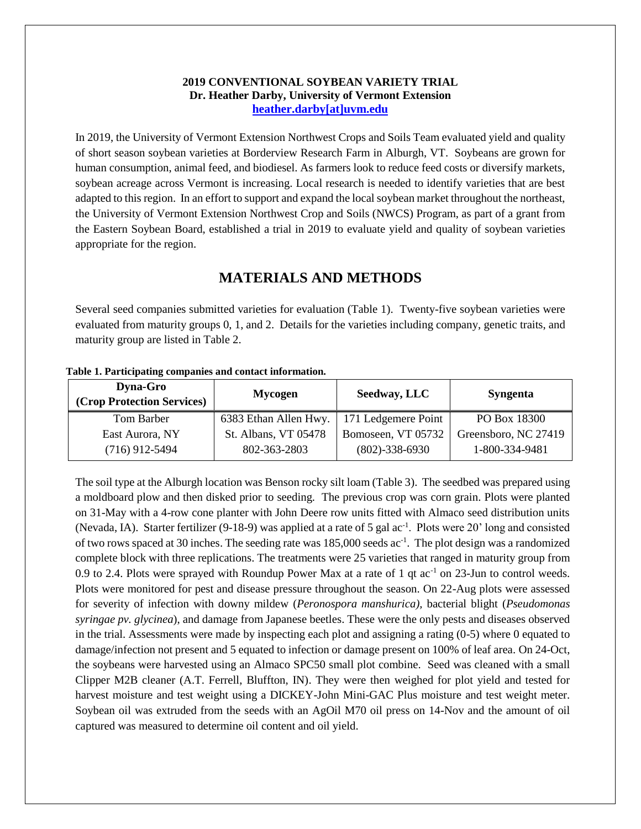#### **2019 CONVENTIONAL SOYBEAN VARIETY TRIAL Dr. Heather Darby, University of Vermont Extension [heather.darby\[at\]uvm.edu](mailto:heather.darby@uvm.edu?subject=2012%20Short%20Season%20Corn%20Report)**

In 2019, the University of Vermont Extension Northwest Crops and Soils Team evaluated yield and quality of short season soybean varieties at Borderview Research Farm in Alburgh, VT. Soybeans are grown for human consumption, animal feed, and biodiesel. As farmers look to reduce feed costs or diversify markets, soybean acreage across Vermont is increasing. Local research is needed to identify varieties that are best adapted to this region. In an effort to support and expand the local soybean market throughout the northeast, the University of Vermont Extension Northwest Crop and Soils (NWCS) Program, as part of a grant from the Eastern Soybean Board, established a trial in 2019 to evaluate yield and quality of soybean varieties appropriate for the region.

## **MATERIALS AND METHODS**

Several seed companies submitted varieties for evaluation (Table 1). Twenty-five soybean varieties were evaluated from maturity groups 0, 1, and 2. Details for the varieties including company, genetic traits, and maturity group are listed in Table 2.

| <b>Dyna-Gro</b><br>(Crop Protection Services) | <b>Mycogen</b>        | Seedway, LLC         | <b>Syngenta</b>      |  |
|-----------------------------------------------|-----------------------|----------------------|----------------------|--|
| Tom Barber                                    | 6383 Ethan Allen Hwy. | 171 Ledgemere Point  | PO Box 18300         |  |
| East Aurora, NY                               | St. Albans, VT 05478  | Bomoseen, VT 05732   | Greensboro, NC 27419 |  |
| $(716)$ 912-5494                              | 802-363-2803          | $(802) - 338 - 6930$ | 1-800-334-9481       |  |

**Table 1. Participating companies and contact information.**

The soil type at the Alburgh location was Benson rocky silt loam (Table 3). The seedbed was prepared using a moldboard plow and then disked prior to seeding. The previous crop was corn grain. Plots were planted on 31-May with a 4-row cone planter with John Deere row units fitted with Almaco seed distribution units (Nevada, IA). Starter fertilizer (9-18-9) was applied at a rate of 5 gal ac<sup>-1</sup>. Plots were 20' long and consisted of two rows spaced at 30 inches. The seeding rate was 185,000 seeds ac<sup>-1</sup>. The plot design was a randomized complete block with three replications. The treatments were 25 varieties that ranged in maturity group from 0.9 to 2.4. Plots were sprayed with Roundup Power Max at a rate of 1 qt  $ac^{-1}$  on 23-Jun to control weeds. Plots were monitored for pest and disease pressure throughout the season. On 22-Aug plots were assessed for severity of infection with downy mildew (*Peronospora manshurica),* bacterial blight (*Pseudomonas syringae pv. glycinea*), and damage from Japanese beetles. These were the only pests and diseases observed in the trial. Assessments were made by inspecting each plot and assigning a rating (0-5) where 0 equated to damage/infection not present and 5 equated to infection or damage present on 100% of leaf area. On 24-Oct, the soybeans were harvested using an Almaco SPC50 small plot combine. Seed was cleaned with a small Clipper M2B cleaner (A.T. Ferrell, Bluffton, IN). They were then weighed for plot yield and tested for harvest moisture and test weight using a DICKEY-John Mini-GAC Plus moisture and test weight meter. Soybean oil was extruded from the seeds with an AgOil M70 oil press on 14-Nov and the amount of oil captured was measured to determine oil content and oil yield.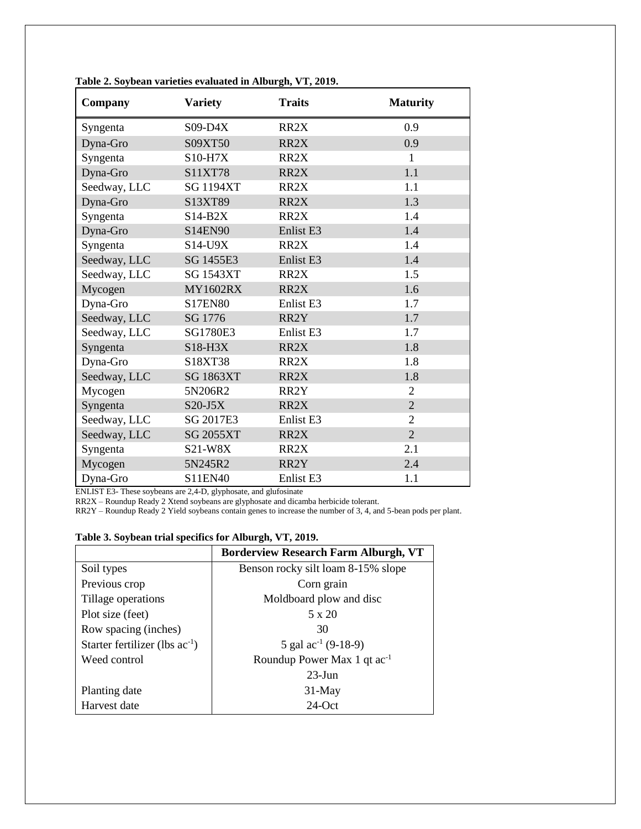| Company      | <b>Variety</b>   | <b>Traits</b>        | <b>Maturity</b> |
|--------------|------------------|----------------------|-----------------|
| Syngenta     | $S09-D4X$        | RR <sub>2</sub> X    | 0.9             |
| Dyna-Gro     | S09XT50          | RR <sub>2</sub> X    | 0.9             |
| Syngenta     | <b>S10-H7X</b>   | RR <sub>2</sub> X    | 1               |
| Dyna-Gro     | S11XT78          | RR2X                 | 1.1             |
| Seedway, LLC | <b>SG 1194XT</b> | RR <sub>2</sub> X    | 1.1             |
| Dyna-Gro     | S13XT89          | RR <sub>2</sub> X    | 1.3             |
| Syngenta     | $S14-B2X$        | RR <sub>2</sub> X    | 1.4             |
| Dyna-Gro     | S14EN90          | Enlist <sub>E3</sub> | 1.4             |
| Syngenta     | S14-U9X          | RR <sub>2</sub> X    | 1.4             |
| Seedway, LLC | SG 1455E3        | Enlist <sub>E3</sub> | 1.4             |
| Seedway, LLC | <b>SG 1543XT</b> | RR <sub>2</sub> X    | 1.5             |
| Mycogen      | <b>MY1602RX</b>  | RR <sub>2</sub> X    | 1.6             |
| Dyna-Gro     | <b>S17EN80</b>   | Enlist <sub>E3</sub> | 1.7             |
| Seedway, LLC | SG 1776          | RR2Y                 | 1.7             |
| Seedway, LLC | SG1780E3         | Enlist <sub>E3</sub> | 1.7             |
| Syngenta     | $S18-H3X$        | RR <sub>2</sub> X    | 1.8             |
| Dyna-Gro     | S18XT38          | RR <sub>2</sub> X    | 1.8             |
| Seedway, LLC | <b>SG 1863XT</b> | RR <sub>2</sub> X    | 1.8             |
| Mycogen      | 5N206R2          | RR2Y                 | $\overline{2}$  |
| Syngenta     | $S20-J5X$        | RR2X                 | $\overline{2}$  |
| Seedway, LLC | SG 2017E3        | Enlist <sub>E3</sub> | $\overline{2}$  |
| Seedway, LLC | <b>SG 2055XT</b> | RR <sub>2</sub> X    | $\overline{2}$  |
| Syngenta     | S21-W8X          | RR <sub>2</sub> X    | 2.1             |
| Mycogen      | 5N245R2          | RR2Y                 | 2.4             |
| Dyna-Gro     | S11EN40          | Enlist <sub>E3</sub> | 1.1             |

**Table 2. Soybean varieties evaluated in Alburgh, VT, 2019.**

ENLIST E3- These soybeans are 2,4-D, glyphosate, and glufosinate

RR2X – Roundup Ready 2 Xtend soybeans are glyphosate and dicamba herbicide tolerant.

RR2Y – Roundup Ready 2 Yield soybeans contain genes to increase the number of 3, 4, and 5-bean pods per plant.

#### **Table 3. Soybean trial specifics for Alburgh, VT, 2019.**

|                                     | <b>Borderview Research Farm Alburgh, VT</b> |
|-------------------------------------|---------------------------------------------|
| Soil types                          | Benson rocky silt loam 8-15% slope          |
| Previous crop                       | Corn grain                                  |
| Tillage operations                  | Moldboard plow and disc                     |
| Plot size (feet)                    | 5 x 20                                      |
| Row spacing (inches)                | 30                                          |
| Starter fertilizer (lbs $ac^{-1}$ ) | 5 gal $ac^{-1}$ (9-18-9)                    |
| Weed control                        | Roundup Power Max 1 qt ac <sup>-1</sup>     |
|                                     | $23$ -Jun                                   |
| Planting date                       | $31$ -May                                   |
| Harvest date                        | $24$ -Oct                                   |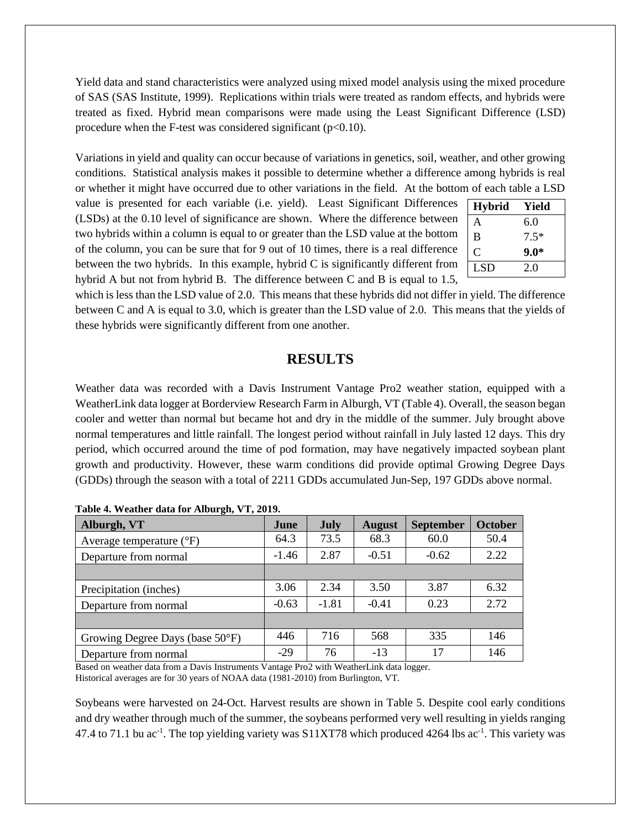Yield data and stand characteristics were analyzed using mixed model analysis using the mixed procedure of SAS (SAS Institute, 1999). Replications within trials were treated as random effects, and hybrids were treated as fixed. Hybrid mean comparisons were made using the Least Significant Difference (LSD) procedure when the F-test was considered significant  $(p<0.10)$ .

Variations in yield and quality can occur because of variations in genetics, soil, weather, and other growing conditions. Statistical analysis makes it possible to determine whether a difference among hybrids is real or whether it might have occurred due to other variations in the field. At the bottom of each table a LSD

value is presented for each variable (i.e. yield). Least Significant Differences (LSDs) at the 0.10 level of significance are shown. Where the difference between two hybrids within a column is equal to or greater than the LSD value at the bottom of the column, you can be sure that for 9 out of 10 times, there is a real difference between the two hybrids. In this example, hybrid C is significantly different from hybrid A but not from hybrid B. The difference between C and B is equal to 1.5,

| <b>Hybrid</b> | Yield  |
|---------------|--------|
| A             | 6.0    |
| B             | $7.5*$ |
| C             | $9.0*$ |
| <b>LSD</b>    | 20     |

which is less than the LSD value of 2.0. This means that these hybrids did not differ in yield. The difference between C and A is equal to 3.0, which is greater than the LSD value of 2.0. This means that the yields of these hybrids were significantly different from one another.

## **RESULTS**

Weather data was recorded with a Davis Instrument Vantage Pro2 weather station, equipped with a WeatherLink data logger at Borderview Research Farm in Alburgh, VT (Table 4). Overall, the season began cooler and wetter than normal but became hot and dry in the middle of the summer. July brought above normal temperatures and little rainfall. The longest period without rainfall in July lasted 12 days. This dry period, which occurred around the time of pod formation, may have negatively impacted soybean plant growth and productivity. However, these warm conditions did provide optimal Growing Degree Days (GDDs) through the season with a total of 2211 GDDs accumulated Jun-Sep, 197 GDDs above normal.

| Alburgh, VT                         | June    | July    | <b>August</b> | <b>September</b> | <b>October</b> |
|-------------------------------------|---------|---------|---------------|------------------|----------------|
| Average temperature $({}^{\circ}F)$ | 64.3    | 73.5    | 68.3          | 60.0             | 50.4           |
| Departure from normal               | $-1.46$ | 2.87    | $-0.51$       | $-0.62$          | 2.22           |
|                                     |         |         |               |                  |                |
| Precipitation (inches)              | 3.06    | 2.34    | 3.50          | 3.87             | 6.32           |
| Departure from normal               | $-0.63$ | $-1.81$ | $-0.41$       | 0.23             | 2.72           |
|                                     |         |         |               |                  |                |
| Growing Degree Days (base 50°F)     | 446     | 716     | 568           | 335              | 146            |
| Departure from normal               | $-29$   | 76      | $-13$         | 17               | 146            |

|  |  |  |  | Table 4. Weather data for Alburgh, VT, 2019. |  |  |
|--|--|--|--|----------------------------------------------|--|--|
|--|--|--|--|----------------------------------------------|--|--|

Based on weather data from a Davis Instruments Vantage Pro2 with WeatherLink data logger. Historical averages are for 30 years of NOAA data (1981-2010) from Burlington, VT.

Soybeans were harvested on 24-Oct. Harvest results are shown in Table 5. Despite cool early conditions and dry weather through much of the summer, the soybeans performed very well resulting in yields ranging 47.4 to 71.1 bu ac<sup>-1</sup>. The top yielding variety was S11XT78 which produced 4264 lbs ac<sup>-1</sup>. This variety was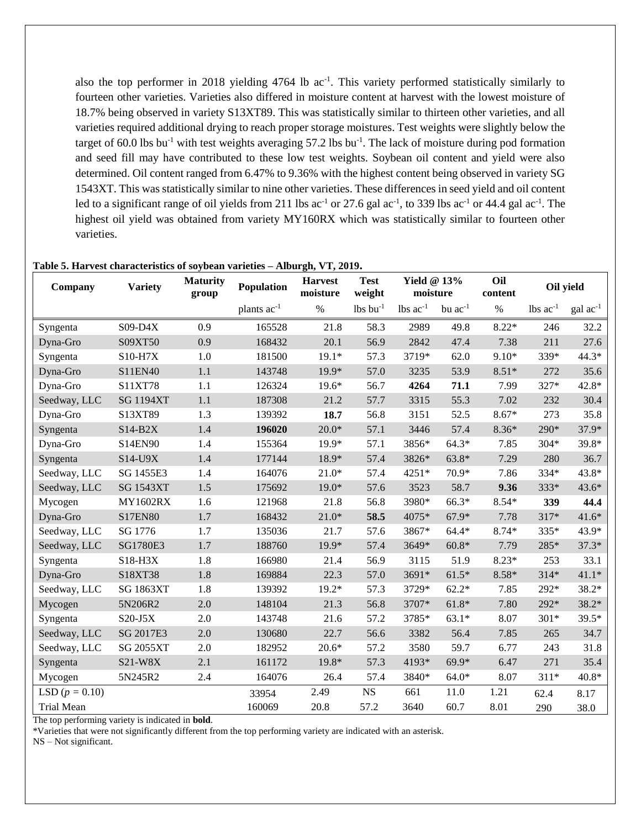also the top performer in 2018 yielding  $4764$  lb ac<sup>-1</sup>. This variety performed statistically similarly to fourteen other varieties. Varieties also differed in moisture content at harvest with the lowest moisture of 18.7% being observed in variety S13XT89. This was statistically similar to thirteen other varieties, and all varieties required additional drying to reach proper storage moistures. Test weights were slightly below the target of 60.0 lbs bu<sup>-1</sup> with test weights averaging 57.2 lbs bu<sup>-1</sup>. The lack of moisture during pod formation and seed fill may have contributed to these low test weights. Soybean oil content and yield were also determined. Oil content ranged from 6.47% to 9.36% with the highest content being observed in variety SG 1543XT. This was statistically similar to nine other varieties. These differences in seed yield and oil content led to a significant range of oil yields from 211 lbs  $ac^{-1}$  or 27.6 gal  $ac^{-1}$ , to 339 lbs  $ac^{-1}$  or 44.4 gal  $ac^{-1}$ . The highest oil yield was obtained from variety MY160RX which was statistically similar to fourteen other varieties.

| Company           | <b>Variety</b>   | <b>Maturity</b><br>group | Population              | <b>Harvest</b><br>moisture | <b>Test</b><br>weight  | <b>Yield @ 13%</b><br>moisture |              | Oil<br>content | Oil yield              |                      |
|-------------------|------------------|--------------------------|-------------------------|----------------------------|------------------------|--------------------------------|--------------|----------------|------------------------|----------------------|
|                   |                  |                          | plants ac <sup>-1</sup> | $\%$                       | $lbs$ bu <sup>-1</sup> | $lbs$ $ac^{-1}$                | bu $ac^{-1}$ | $\%$           | $lbs$ ac <sup>-1</sup> | $\text{gal ac}^{-1}$ |
| Syngenta          | $S09-D4X$        | 0.9                      | 165528                  | 21.8                       | 58.3                   | 2989                           | 49.8         | $8.22*$        | 246                    | 32.2                 |
| Dyna-Gro          | S09XT50          | 0.9                      | 168432                  | 20.1                       | 56.9                   | 2842                           | 47.4         | 7.38           | 211                    | 27.6                 |
| Syngenta          | S10-H7X          | 1.0                      | 181500                  | $19.1*$                    | 57.3                   | 3719*                          | 62.0         | $9.10*$        | 339*                   | 44.3*                |
| Dyna-Gro          | S11EN40          | 1.1                      | 143748                  | 19.9*                      | 57.0                   | 3235                           | 53.9         | $8.51*$        | 272                    | 35.6                 |
| Dyna-Gro          | S11XT78          | 1.1                      | 126324                  | $19.6*$                    | 56.7                   | 4264                           | 71.1         | 7.99           | 327*                   | 42.8*                |
| Seedway, LLC      | <b>SG 1194XT</b> | 1.1                      | 187308                  | 21.2                       | 57.7                   | 3315                           | 55.3         | 7.02           | 232                    | 30.4                 |
| Dyna-Gro          | S13XT89          | 1.3                      | 139392                  | 18.7                       | 56.8                   | 3151                           | 52.5         | $8.67*$        | 273                    | 35.8                 |
| Syngenta          | $S14-B2X$        | 1.4                      | 196020                  | $20.0*$                    | 57.1                   | 3446                           | 57.4         | $8.36*$        | 290*                   | 37.9*                |
| Dyna-Gro          | S14EN90          | 1.4                      | 155364                  | $19.9*$                    | 57.1                   | 3856*                          | $64.3*$      | 7.85           | $304*$                 | 39.8*                |
| Syngenta          | S14-U9X          | 1.4                      | 177144                  | 18.9*                      | 57.4                   | 3826*                          | $63.8*$      | 7.29           | 280                    | 36.7                 |
| Seedway, LLC      | SG 1455E3        | 1.4                      | 164076                  | $21.0*$                    | 57.4                   | 4251*                          | 70.9*        | 7.86           | 334*                   | 43.8*                |
| Seedway, LLC      | <b>SG 1543XT</b> | 1.5                      | 175692                  | $19.0*$                    | 57.6                   | 3523                           | 58.7         | 9.36           | 333*                   | 43.6*                |
| Mycogen           | <b>MY1602RX</b>  | 1.6                      | 121968                  | 21.8                       | 56.8                   | 3980*                          | $66.3*$      | $8.54*$        | 339                    | 44.4                 |
| Dyna-Gro          | S17EN80          | 1.7                      | 168432                  | $21.0*$                    | 58.5                   | 4075*                          | $67.9*$      | 7.78           | 317*                   | $41.6*$              |
| Seedway, LLC      | SG 1776          | 1.7                      | 135036                  | 21.7                       | 57.6                   | 3867*                          | $64.4*$      | 8.74*          | 335*                   | 43.9*                |
| Seedway, LLC      | SG1780E3         | 1.7                      | 188760                  | 19.9*                      | 57.4                   | 3649*                          | $60.8*$      | 7.79           | 285*                   | $37.3*$              |
| Syngenta          | $S18-H3X$        | 1.8                      | 166980                  | 21.4                       | 56.9                   | 3115                           | 51.9         | $8.23*$        | 253                    | 33.1                 |
| Dyna-Gro          | S18XT38          | 1.8                      | 169884                  | 22.3                       | 57.0                   | 3691*                          | $61.5*$      | $8.58*$        | $314*$                 | $41.1*$              |
| Seedway, LLC      | <b>SG 1863XT</b> | 1.8                      | 139392                  | $19.2*$                    | 57.3                   | 3729*                          | $62.2*$      | 7.85           | 292*                   | $38.2*$              |
| Mycogen           | 5N206R2          | 2.0                      | 148104                  | 21.3                       | 56.8                   | 3707*                          | $61.8*$      | 7.80           | 292*                   | $38.2*$              |
| Syngenta          | $S20-J5X$        | 2.0                      | 143748                  | 21.6                       | 57.2                   | 3785*                          | $63.1*$      | 8.07           | $301*$                 | 39.5*                |
| Seedway, LLC      | SG 2017E3        | 2.0                      | 130680                  | 22.7                       | 56.6                   | 3382                           | 56.4         | 7.85           | 265                    | 34.7                 |
| Seedway, LLC      | <b>SG 2055XT</b> | 2.0                      | 182952                  | $20.6*$                    | 57.2                   | 3580                           | 59.7         | 6.77           | 243                    | 31.8                 |
| Syngenta          | $S21-W8X$        | 2.1                      | 161172                  | 19.8*                      | 57.3                   | 4193*                          | 69.9*        | 6.47           | 271                    | 35.4                 |
| Mycogen           | 5N245R2          | 2.4                      | 164076                  | 26.4                       | 57.4                   | 3840*                          | $64.0*$      | 8.07           | $311*$                 | 40.8*                |
| LSD $(p = 0.10)$  |                  |                          | 33954                   | 2.49                       | <b>NS</b>              | 661                            | 11.0         | 1.21           | 62.4                   | 8.17                 |
| <b>Trial Mean</b> |                  |                          | 160069                  | 20.8                       | 57.2                   | 3640                           | 60.7         | 8.01           | 290                    | 38.0                 |

#### **Table 5. Harvest characteristics of soybean varieties – Alburgh, VT, 2019.**

The top performing variety is indicated in **bold**.

\*Varieties that were not significantly different from the top performing variety are indicated with an asterisk.

NS – Not significant.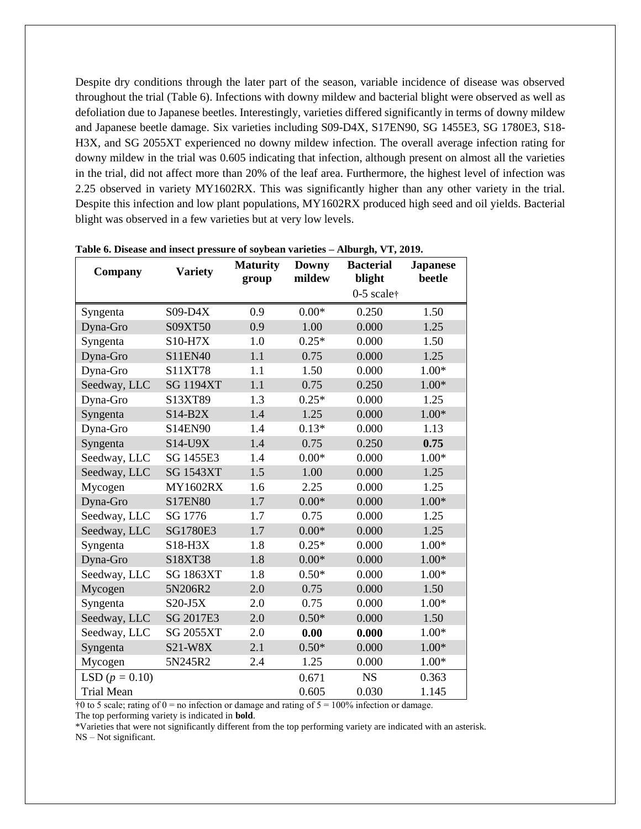Despite dry conditions through the later part of the season, variable incidence of disease was observed throughout the trial (Table 6). Infections with downy mildew and bacterial blight were observed as well as defoliation due to Japanese beetles. Interestingly, varieties differed significantly in terms of downy mildew and Japanese beetle damage. Six varieties including S09-D4X, S17EN90, SG 1455E3, SG 1780E3, S18- H3X, and SG 2055XT experienced no downy mildew infection. The overall average infection rating for downy mildew in the trial was 0.605 indicating that infection, although present on almost all the varieties in the trial, did not affect more than 20% of the leaf area. Furthermore, the highest level of infection was 2.25 observed in variety MY1602RX. This was significantly higher than any other variety in the trial. Despite this infection and low plant populations, MY1602RX produced high seed and oil yields. Bacterial blight was observed in a few varieties but at very low levels.

| <b>Company</b>    | <b>Variety</b>   | <b>Maturity</b> | <b>Downy</b><br>mildew | <b>Bacterial</b>                | <b>Japanese</b><br>beetle |
|-------------------|------------------|-----------------|------------------------|---------------------------------|---------------------------|
|                   |                  | group           |                        | blight<br>$0-5$ scale $\dagger$ |                           |
| Syngenta          | $S09-D4X$        | 0.9             | $0.00*$                | 0.250                           | 1.50                      |
| Dyna-Gro          | S09XT50          | 0.9             | 1.00                   | 0.000                           | 1.25                      |
| Syngenta          | S10-H7X          | 1.0             | $0.25*$                | 0.000                           | 1.50                      |
| Dyna-Gro          | S11EN40          | 1.1             | 0.75                   | 0.000                           | 1.25                      |
| Dyna-Gro          | S11XT78          | 1.1             | 1.50                   | 0.000                           | $1.00*$                   |
| Seedway, LLC      | <b>SG 1194XT</b> | 1.1             | 0.75                   | 0.250                           | $1.00*$                   |
| Dyna-Gro          | S13XT89          | 1.3             | $0.25*$                | 0.000                           | 1.25                      |
| Syngenta          | $S14-B2X$        | 1.4             | 1.25                   | 0.000                           | $1.00*$                   |
| Dyna-Gro          | S14EN90          | 1.4             | $0.13*$                | 0.000                           | 1.13                      |
| Syngenta          | S14-U9X          | 1.4             | 0.75                   | 0.250                           | 0.75                      |
| Seedway, LLC      | SG 1455E3        | 1.4             | $0.00*$                | 0.000                           | $1.00*$                   |
| Seedway, LLC      | <b>SG 1543XT</b> | 1.5             | 1.00                   | 0.000                           | 1.25                      |
| Mycogen           | <b>MY1602RX</b>  | 1.6             | 2.25                   | 0.000                           | 1.25                      |
| Dyna-Gro          | <b>S17EN80</b>   | 1.7             | $0.00*$                | 0.000                           | $1.00*$                   |
| Seedway, LLC      | SG 1776          | 1.7             | 0.75                   | 0.000                           | 1.25                      |
| Seedway, LLC      | <b>SG1780E3</b>  | 1.7             | $0.00*$                | 0.000                           | 1.25                      |
| Syngenta          | S18-H3X          | 1.8             | $0.25*$                | 0.000                           | $1.00*$                   |
| Dyna-Gro          | S18XT38          | 1.8             | $0.00*$                | 0.000                           | $1.00*$                   |
| Seedway, LLC      | <b>SG 1863XT</b> | 1.8             | $0.50*$                | 0.000                           | $1.00*$                   |
| Mycogen           | 5N206R2          | 2.0             | 0.75                   | 0.000                           | 1.50                      |
| Syngenta          | $S20-J5X$        | 2.0             | 0.75                   | 0.000                           | $1.00*$                   |
| Seedway, LLC      | SG 2017E3        | 2.0             | $0.50*$                | 0.000                           | 1.50                      |
| Seedway, LLC      | <b>SG 2055XT</b> | 2.0             | 0.00                   | 0.000                           | $1.00*$                   |
| Syngenta          | S21-W8X          | 2.1             | $0.50*$                | 0.000                           | $1.00*$                   |
| Mycogen           | 5N245R2          | 2.4             | 1.25                   | 0.000                           | $1.00*$                   |
| LSD $(p = 0.10)$  |                  |                 | 0.671                  | <b>NS</b>                       | 0.363                     |
| <b>Trial Mean</b> |                  |                 | 0.605                  | 0.030                           | 1.145                     |

**Table 6. Disease and insect pressure of soybean varieties – Alburgh, VT, 2019.**

 $\dagger 0$  to 5 scale; rating of 0 = no infection or damage and rating of  $5 = 100\%$  infection or damage.

The top performing variety is indicated in **bold**.

\*Varieties that were not significantly different from the top performing variety are indicated with an asterisk. NS – Not significant.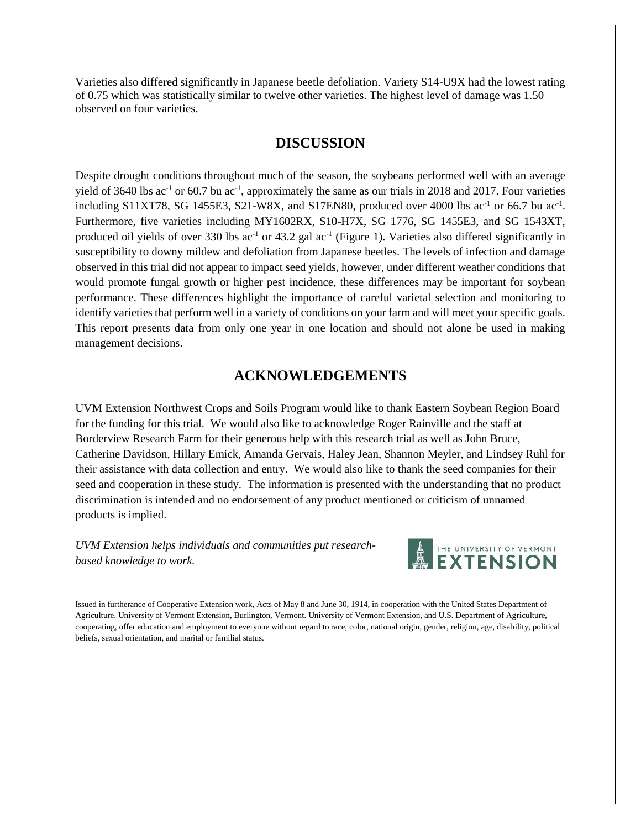Varieties also differed significantly in Japanese beetle defoliation. Variety S14-U9X had the lowest rating of 0.75 which was statistically similar to twelve other varieties. The highest level of damage was 1.50 observed on four varieties.

### **DISCUSSION**

Despite drought conditions throughout much of the season, the soybeans performed well with an average yield of 3640 lbs  $ac^{-1}$  or 60.7 bu  $ac^{-1}$ , approximately the same as our trials in 2018 and 2017. Four varieties including S11XT78, SG 1455E3, S21-W8X, and S17EN80, produced over 4000 lbs  $ac^{-1}$  or 66.7 bu  $ac^{-1}$ . Furthermore, five varieties including MY1602RX, S10-H7X, SG 1776, SG 1455E3, and SG 1543XT, produced oil yields of over 330 lbs ac<sup>-1</sup> or 43.2 gal ac<sup>-1</sup> (Figure 1). Varieties also differed significantly in susceptibility to downy mildew and defoliation from Japanese beetles. The levels of infection and damage observed in this trial did not appear to impact seed yields, however, under different weather conditions that would promote fungal growth or higher pest incidence, these differences may be important for soybean performance. These differences highlight the importance of careful varietal selection and monitoring to identify varieties that perform well in a variety of conditions on your farm and will meet your specific goals. This report presents data from only one year in one location and should not alone be used in making management decisions.

## **ACKNOWLEDGEMENTS**

UVM Extension Northwest Crops and Soils Program would like to thank Eastern Soybean Region Board for the funding for this trial. We would also like to acknowledge Roger Rainville and the staff at Borderview Research Farm for their generous help with this research trial as well as John Bruce, Catherine Davidson, Hillary Emick, Amanda Gervais, Haley Jean, Shannon Meyler, and Lindsey Ruhl for their assistance with data collection and entry. We would also like to thank the seed companies for their seed and cooperation in these study. The information is presented with the understanding that no product discrimination is intended and no endorsement of any product mentioned or criticism of unnamed products is implied.

*UVM Extension helps individuals and communities put researchbased knowledge to work.*



Issued in furtherance of Cooperative Extension work, Acts of May 8 and June 30, 1914, in cooperation with the United States Department of Agriculture. University of Vermont Extension, Burlington, Vermont. University of Vermont Extension, and U.S. Department of Agriculture, cooperating, offer education and employment to everyone without regard to race, color, national origin, gender, religion, age, disability, political beliefs, sexual orientation, and marital or familial status.